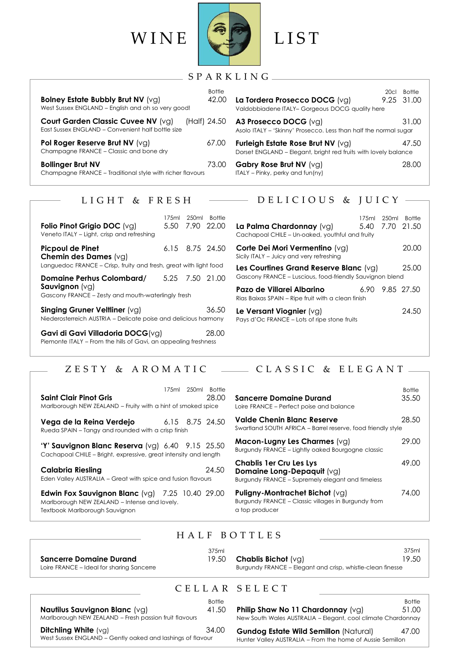

| Bolney Estate Bubbly Brut NV (vg)<br>West Sussex ENGLAND - English and oh so very good! | <b>Bottle</b><br>42.00 | 20c1<br>La Tordera Prosecco DOCG (vg)<br>Valdobbiadene ITALY- Gorgeous DOCG quality here                    | Bottle<br>9.25 31.00 |
|-----------------------------------------------------------------------------------------|------------------------|-------------------------------------------------------------------------------------------------------------|----------------------|
| Court Garden Classic Cuvee NV (vg)<br>East Sussex ENGLAND - Convenient half bottle size | (Half) 24.50           | A3 Prosecco DOCG (vg)<br>Asolo ITALY - 'Skinny' Prosecco. Less than half the normal sugar                   | 31.00                |
| Pol Roger Reserve Brut NV (vg)<br>Champagne FRANCE - Classic and bone dry               | 67.00                  | <b>Furleigh Estate Rose Brut NV (vg)</b><br>Dorset ENGLAND - Elegant, bright red fruits with lovely balance | 47.50                |
| <b>Bollinger Brut NV</b><br>Champagne FRANCE - Traditional style with richer flavours   | 73.00                  | Gabry Rose Brut NV $(vg)$<br>$ITALY - Pinky$ , perky and $fun(ny)$                                          | 28.00                |

#### S P A R K L I N G

| Valdobbiadene ITALY- Gorgeous DOCG quality here                                                        |       |
|--------------------------------------------------------------------------------------------------------|-------|
| A3 Prosecco DOCG (vg)<br>Asolo ITALY - 'Skinny' Prosecco. Less than half the normal sugar              | 31.00 |
| Furleigh Estate Rose Brut NV $(vq)$<br>Dorset ENGLAND - Elegant, bright red fruits with lovely balance | 47.50 |
| Gabry Rose Brut NV $(vg)$<br>ITALY – Pinky, perky and fun(ny)                                          | 28.00 |

### LIGHT & FRESH

| Folio Pinot Grigio DOC (vg)<br>Veneto ITALY - Light, crisp and refreshing                                                    | 175ml 250ml | <b>Bottle</b><br>5.50 7.90 22.00 |
|------------------------------------------------------------------------------------------------------------------------------|-------------|----------------------------------|
| <b>Picpoul de Pinet</b><br><b>Chemin des Dames</b> (vg)<br>Languedoc FRANCE - Crisp, fruity and fresh, great with light food |             | 6.15 8.75 24.50                  |
| Domaine Perhus Colombard/<br><b>Sauvignon</b> $(vq)$<br>Gascony FRANCE – Zesty and mouth-waterlingly fresh                   |             | 5.25 7.50 21.00                  |
| Singing Gruner Veltliner $(v_0)$<br>Niederosterreich AUSTRIA - Delicate poise and delicious harmony                          |             | 36.50                            |
| $C$ avi di Cavi Villadesia DOCC (vol.                                                                                        |             | ററ ററ                            |

**Gavi di Gavi Villadoria DOCG**(vg) 7.00 10.00 28.00 Piemonte ITALY – From the hills of Gavi, an appealing freshness

# $\longrightarrow$  DELICIOUS & JUICY -

| La Palma Chardonnay (vg)<br>Cachapoal CHILE - Un-oaked, youthful and fruity                          |  | 175ml 250ml Bottle<br>5.40 7.70 21.50 |
|------------------------------------------------------------------------------------------------------|--|---------------------------------------|
| Corte Dei Mori Vermentino (vg)<br>Sicily ITALY - Juicy and very refreshing                           |  | 20.00                                 |
| Les Courtines Grand Reserve Blanc $(vg)$<br>Gascony FRANCE - Luscious, food-friendly Sauvignon blend |  | 25.00                                 |
| Pazo de Villarei Albarino<br>Rias Baixas SPAIN – Ripe fruit with a clean finish                      |  | 6.90 9.85 27.50                       |
| Le Versant Viognier (vg)<br>Pays d'Oc FRANCE - Lots of ripe stone fruits                             |  | 24.50                                 |

# ZESTY & AROMATIC  $\longrightarrow$  CLASSIC & ELEGANT-

| Saint Clair Pinot Gris                                                                                                   |  | 175ml 250ml Bottle<br>28.00 |  |
|--------------------------------------------------------------------------------------------------------------------------|--|-----------------------------|--|
| Marlborough NEW ZEALAND - Fruity with a hint of smoked spice                                                             |  |                             |  |
| Vega de la Reina Verdejo<br>Rueda SPAIN - Tangy and rounded with a crisp finish                                          |  | 6.15 8.75 24.50             |  |
| 'Y' Sauvignon Blanc Reserva $(vq)$ 6.40 $9.15$ 25.50<br>Cachapoal CHILE – Bright, expressive, great intensity and length |  |                             |  |
| <b>Calabria Riesling</b><br>Eden Valley AUSTRALIA – Great with spice and fusion flavours                                 |  | 24.50                       |  |

**Edwin Fox Sauvignon Blanc** (vg)7.25 10.40 29.00 Marlborough NEW ZEALAND – Intense and lovely. Textbook Marlborough Sauvignon

#### **Sancerre Domaine Durand** 35.50 Loire FRANCE – Perfect poise and balance **Valde Chenin Blanc Reserve** 28.50 Swartland SOUTH AFRICA – Barrel reserve, food friendly style **Macon-Lugny Les Charmes** (vg) 29.00 Burgundy FRANCE – Lightly oaked Bourgogne classic **Chablis 1er Cru Les Lys** 49.00 **Domaine Long-Depaquit** (vg) Burgundy FRANCE – Supremely elegant and timeless

**Bottle** 

**Puligny-Montrachet Bichot** (vg) 74.00 Burgundy FRANCE – Classic villages in Burgundy from a top producer

## H A L F B O T T L E S

| <b>Sancerre Domaine Durand</b>            | 375ml | $19.50$ Chablis Bichot (vg)                                | 375ml |
|-------------------------------------------|-------|------------------------------------------------------------|-------|
| Loire FRANCE – Ideal for sharing Sancerre |       | Burgundy FRANCE – Elegant and crisp, whistle-clean finesse | 19.50 |
|                                           |       |                                                            |       |

# C E L L A R S E L E C T

| <b>Nautilus Sauvignon Blanc (vg)</b>                                                 | <b>Bottle</b> |
|--------------------------------------------------------------------------------------|---------------|
| Marlborough NEW ZEALAND - Fresh passion fruit flavours                               | 41.50         |
| Ditchling White $(vq)$<br>West Sussex ENGLAND - Gently oaked and lashings of flavour | 34.00         |

 Bottle **Philip Shaw No 11 Chardonnay**  $(vg)$  51.00 New South Wales AUSTRALIA – Elegant, cool climate Chardonnay

**Example 24.00 Gundog Estate Wild Semillon** (Natural)  $47.00$ Hunter Valley AUSTRALIA – From the home of Aussie Semillon